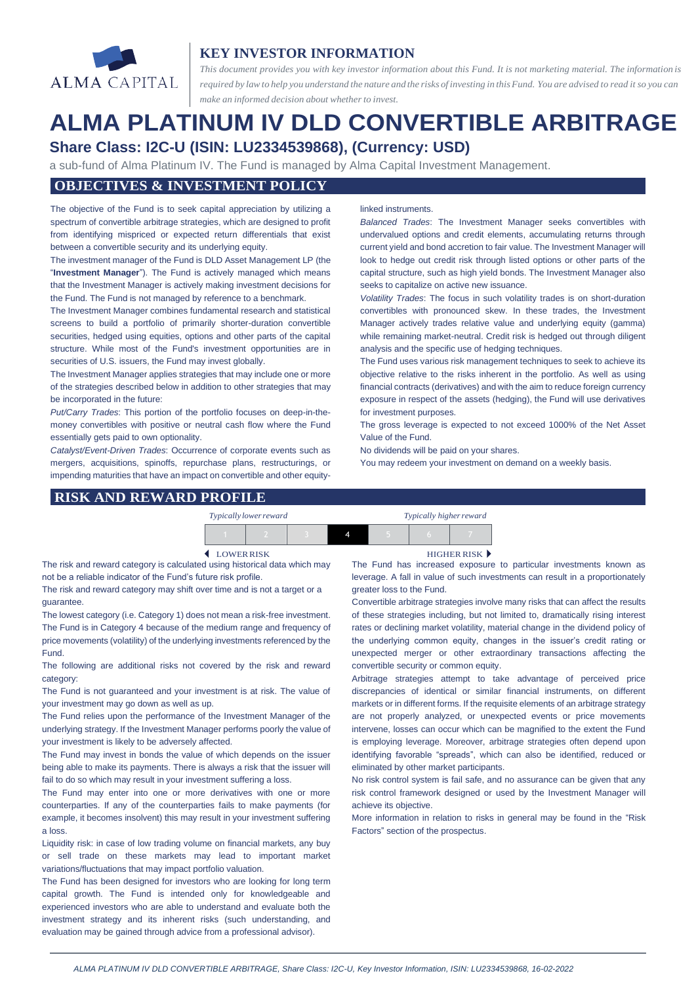

# **KEY INVESTOR INFORMATION**

*This document provides you with key investor information about this Fund. It is not marketing material. The information is* required by law to help you understand the nature and the risks of investing in this Fund. You are advised to read it so you can *make an informed decision about whether to invest.*

# **ALMA PLATINUM IV DLD CONVERTIBLE ARBITRAGE Share Class: I2C-U (ISIN: LU2334539868), (Currency: USD)**

a sub-fund of Alma Platinum IV. The Fund is managed by Alma Capital Investment Management.

## **OBJECTIVES & INVESTMENT POLICY**

The objective of the Fund is to seek capital appreciation by utilizing a spectrum of convertible arbitrage strategies, which are designed to profit from identifying mispriced or expected return differentials that exist between a convertible security and its underlying equity.

The investment manager of the Fund is DLD Asset Management LP (the "**Investment Manager**"). The Fund is actively managed which means that the Investment Manager is actively making investment decisions for the Fund. The Fund is not managed by reference to a benchmark.

The Investment Manager combines fundamental research and statistical screens to build a portfolio of primarily shorter-duration convertible securities, hedged using equities, options and other parts of the capital structure. While most of the Fund's investment opportunities are in securities of U.S. issuers, the Fund may invest globally.

The Investment Manager applies strategies that may include one or more of the strategies described below in addition to other strategies that may be incorporated in the future:

*Put/Carry Trades*: This portion of the portfolio focuses on deep-in-themoney convertibles with positive or neutral cash flow where the Fund essentially gets paid to own optionality.

*Catalyst/Event-Driven Trades*: Occurrence of corporate events such as mergers, acquisitions, spinoffs, repurchase plans, restructurings, or impending maturities that have an impact on convertible and other equity-

#### linked instruments.

*Balanced Trades*: The Investment Manager seeks convertibles with undervalued options and credit elements, accumulating returns through current yield and bond accretion to fair value. The Investment Manager will look to hedge out credit risk through listed options or other parts of the capital structure, such as high yield bonds. The Investment Manager also seeks to capitalize on active new issuance.

*Volatility Trades*: The focus in such volatility trades is on short-duration convertibles with pronounced skew. In these trades, the Investment Manager actively trades relative value and underlying equity (gamma) while remaining market-neutral. Credit risk is hedged out through diligent analysis and the specific use of hedging techniques.

The Fund uses various risk management techniques to seek to achieve its objective relative to the risks inherent in the portfolio. As well as using financial contracts (derivatives) and with the aim to reduce foreign currency exposure in respect of the assets (hedging), the Fund will use derivatives for investment purposes.

The gross leverage is expected to not exceed 1000% of the Net Asset Value of the Fund.

No dividends will be paid on your shares.

You may redeem your investment on demand on a weekly basis.

#### **RISK AND REWARD PROFILE**

| Typically lower reward |  | Typically higher reward |  |  |  |
|------------------------|--|-------------------------|--|--|--|
|                        |  |                         |  |  |  |

The risk and reward category is calculated using historical data which may not be a reliable indicator of the Fund's future risk profile.

The risk and reward category may shift over time and is not a target or a guarantee.

The lowest category (i.e. Category 1) does not mean a risk-free investment. The Fund is in Category 4 because of the medium range and frequency of price movements (volatility) of the underlying investments referenced by the Fund.

The following are additional risks not covered by the risk and reward category:

The Fund is not guaranteed and your investment is at risk. The value of your investment may go down as well as up.

The Fund relies upon the performance of the Investment Manager of the underlying strategy. If the Investment Manager performs poorly the value of your investment is likely to be adversely affected.

The Fund may invest in bonds the value of which depends on the issuer being able to make its payments. There is always a risk that the issuer will fail to do so which may result in your investment suffering a loss.

The Fund may enter into one or more derivatives with one or more counterparties. If any of the counterparties fails to make payments (for example, it becomes insolvent) this may result in your investment suffering a loss.

Liquidity risk: in case of low trading volume on financial markets, any buy or sell trade on these markets may lead to important market variations/fluctuations that may impact portfolio valuation.

The Fund has been designed for investors who are looking for long term capital growth. The Fund is intended only for knowledgeable and experienced investors who are able to understand and evaluate both the investment strategy and its inherent risks (such understanding, and evaluation may be gained through advice from a professional advisor).

LOWERRISK HIGHER RISK

The Fund has increased exposure to particular investments known as leverage. A fall in value of such investments can result in a proportionately greater loss to the Fund.

Convertible arbitrage strategies involve many risks that can affect the results of these strategies including, but not limited to, dramatically rising interest rates or declining market volatility, material change in the dividend policy of the underlying common equity, changes in the issuer's credit rating or unexpected merger or other extraordinary transactions affecting the convertible security or common equity.

Arbitrage strategies attempt to take advantage of perceived price discrepancies of identical or similar financial instruments, on different markets or in different forms. If the requisite elements of an arbitrage strategy are not properly analyzed, or unexpected events or price movements intervene, losses can occur which can be magnified to the extent the Fund is employing leverage. Moreover, arbitrage strategies often depend upon identifying favorable "spreads", which can also be identified, reduced or eliminated by other market participants.

No risk control system is fail safe, and no assurance can be given that any risk control framework designed or used by the Investment Manager will achieve its objective.

More information in relation to risks in general may be found in the "Risk Factors" section of the prospectus.